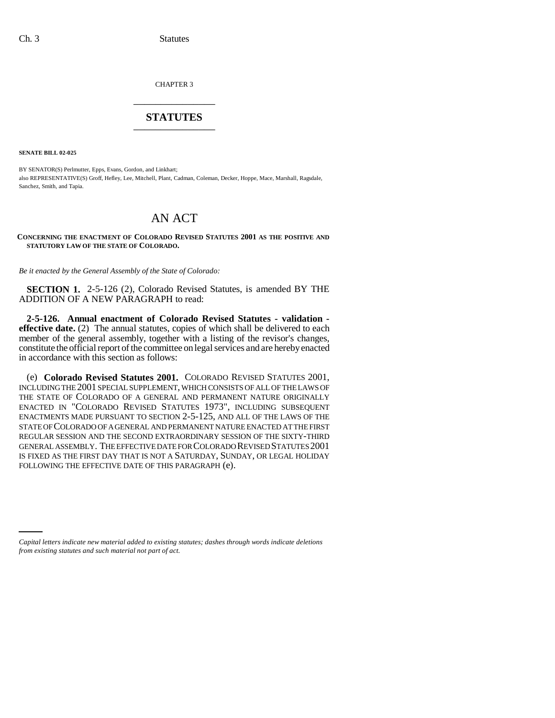CHAPTER 3 \_\_\_\_\_\_\_\_\_\_\_\_\_\_\_

## **STATUTES** \_\_\_\_\_\_\_\_\_\_\_\_\_\_\_

**SENATE BILL 02-025**

BY SENATOR(S) Perlmutter, Epps, Evans, Gordon, and Linkhart; also REPRESENTATIVE(S) Groff, Hefley, Lee, Mitchell, Plant, Cadman, Coleman, Decker, Hoppe, Mace, Marshall, Ragsdale, Sanchez, Smith, and Tapia.

## AN ACT

**CONCERNING THE ENACTMENT OF COLORADO REVISED STATUTES 2001 AS THE POSITIVE AND STATUTORY LAW OF THE STATE OF COLORADO.**

*Be it enacted by the General Assembly of the State of Colorado:*

**SECTION 1.** 2-5-126 (2), Colorado Revised Statutes, is amended BY THE ADDITION OF A NEW PARAGRAPH to read:

**2-5-126. Annual enactment of Colorado Revised Statutes - validation effective date.** (2) The annual statutes, copies of which shall be delivered to each member of the general assembly, together with a listing of the revisor's changes, constitute the official report of the committee on legal services and are hereby enacted in accordance with this section as follows:

(e) **Colorado Revised Statutes 2001.** COLORADO REVISED STATUTES 2001, INCLUDING THE 2001 SPECIAL SUPPLEMENT, WHICH CONSISTS OF ALL OF THE LAWS OF THE STATE OF COLORADO OF A GENERAL AND PERMANENT NATURE ORIGINALLY ENACTED IN "COLORADO REVISED STATUTES 1973", INCLUDING SUBSEQUENT ENACTMENTS MADE PURSUANT TO SECTION 2-5-125, AND ALL OF THE LAWS OF THE STATE OF COLORADO OF A GENERAL AND PERMANENT NATURE ENACTED AT THE FIRST REGULAR SESSION AND THE SECOND EXTRAORDINARY SESSION OF THE SIXTY-THIRD GENERAL ASSEMBLY. THE EFFECTIVE DATE FOR COLORADO REVISED STATUTES 2001 IS FIXED AS THE FIRST DAY THAT IS NOT A SATURDAY, SUNDAY, OR LEGAL HOLIDAY FOLLOWING THE EFFECTIVE DATE OF THIS PARAGRAPH (e).

*Capital letters indicate new material added to existing statutes; dashes through words indicate deletions from existing statutes and such material not part of act.*